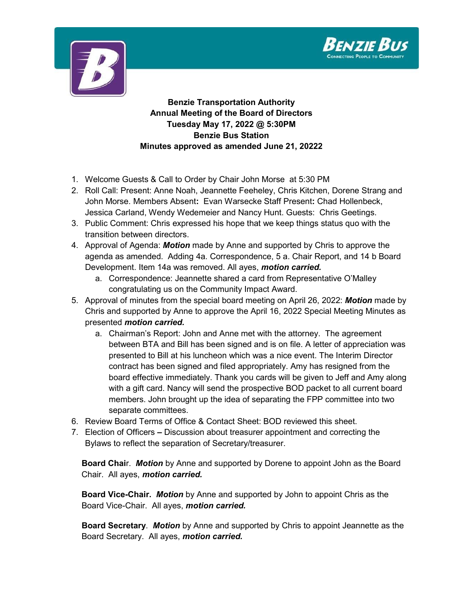



**Benzie Transportation Authority Annual Meeting of the Board of Directors Tuesday May 17, 2022 @ 5:30PM Benzie Bus Station Minutes approved as amended June 21, 20222**

- 1. Welcome Guests & Call to Order by Chair John Morse at 5:30 PM
- 2. Roll Call: Present: Anne Noah, Jeannette Feeheley, Chris Kitchen, Dorene Strang and John Morse. Members Absent**:** Evan Warsecke Staff Present**:** Chad Hollenbeck, Jessica Carland, Wendy Wedemeier and Nancy Hunt. Guests: Chris Geetings.
- 3. Public Comment: Chris expressed his hope that we keep things status quo with the transition between directors.
- 4. Approval of Agenda: *Motion* made by Anne and supported by Chris to approve the agenda as amended. Adding 4a. Correspondence, 5 a. Chair Report, and 14 b Board Development. Item 14a was removed. All ayes, *motion carried.*
	- a. Correspondence: Jeannette shared a card from Representative O'Malley congratulating us on the Community Impact Award.
- 5. Approval of minutes from the special board meeting on April 26, 2022: *Motion* made by Chris and supported by Anne to approve the April 16, 2022 Special Meeting Minutes as presented *motion carried.*
	- a. Chairman's Report: John and Anne met with the attorney. The agreement between BTA and Bill has been signed and is on file. A letter of appreciation was presented to Bill at his luncheon which was a nice event. The Interim Director contract has been signed and filed appropriately. Amy has resigned from the board effective immediately. Thank you cards will be given to Jeff and Amy along with a gift card. Nancy will send the prospective BOD packet to all current board members. John brought up the idea of separating the FPP committee into two separate committees.
- 6. Review Board Terms of Office & Contact Sheet: BOD reviewed this sheet.
- 7. Election of Officers **–** Discussion about treasurer appointment and correcting the Bylaws to reflect the separation of Secretary/treasurer.

**Board Chai**r. *Motion* by Anne and supported by Dorene to appoint John as the Board Chair. All ayes, *motion carried.*

**Board Vice-Chair.** *Motion* by Anne and supported by John to appoint Chris as the Board Vice-Chair. All ayes, *motion carried.*

**Board Secretary**. *Motion* by Anne and supported by Chris to appoint Jeannette as the Board Secretary. All ayes, *motion carried.*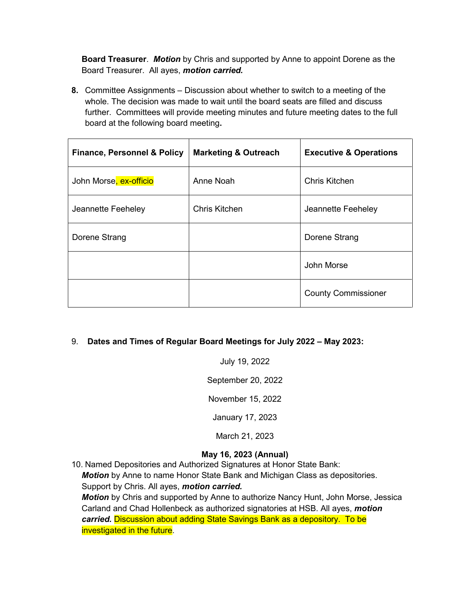**Board Treasurer**. *Motion* by Chris and supported by Anne to appoint Dorene as the Board Treasurer. All ayes, *motion carried.*

**8.** Committee Assignments – Discussion about whether to switch to a meeting of the whole. The decision was made to wait until the board seats are filled and discuss further. Committees will provide meeting minutes and future meeting dates to the full board at the following board meeting**.** 

| <b>Finance, Personnel &amp; Policy</b> | <b>Marketing &amp; Outreach</b> | <b>Executive &amp; Operations</b> |
|----------------------------------------|---------------------------------|-----------------------------------|
| John Morse, ex-officio                 | Anne Noah                       | Chris Kitchen                     |
| Jeannette Feeheley                     | <b>Chris Kitchen</b>            | Jeannette Feeheley                |
| Dorene Strang                          |                                 | Dorene Strang                     |
|                                        |                                 | John Morse                        |
|                                        |                                 | <b>County Commissioner</b>        |

## 9. **Dates and Times of Regular Board Meetings for July 2022 – May 2023:**

July 19, 2022 September 20, 2022 November 15, 2022 January 17, 2023 March 21, 2023

## **May 16, 2023 (Annual)**

10. Named Depositories and Authorized Signatures at Honor State Bank: *Motion* by Anne to name Honor State Bank and Michigan Class as depositories. Support by Chris. All ayes, *motion carried. Motion* by Chris and supported by Anne to authorize Nancy Hunt, John Morse, Jessica Carland and Chad Hollenbeck as authorized signatories at HSB. All ayes, *motion carried.* Discussion about adding State Savings Bank as a depository. To be investigated in the future.